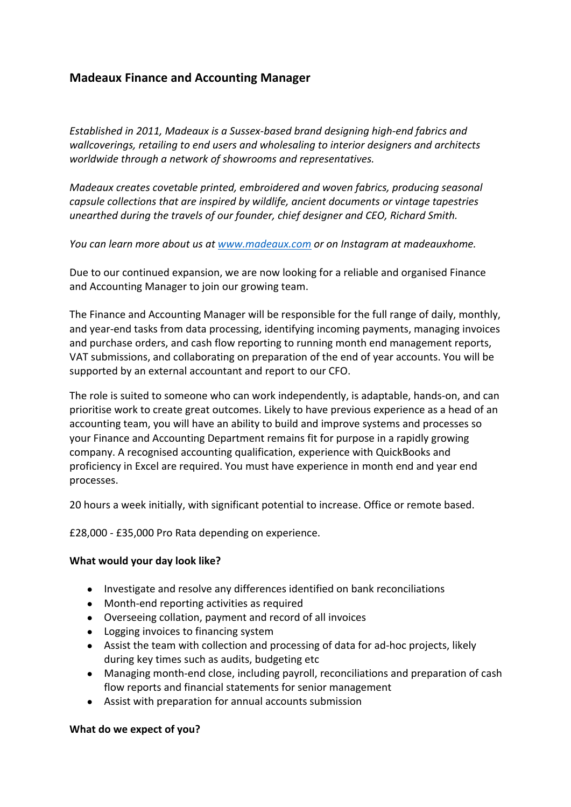## **Madeaux Finance and Accounting Manager**

*Established in 2011, Madeaux is a Sussex-based brand designing high-end fabrics and wallcoverings, retailing to end users and wholesaling to interior designers and architects worldwide through a network of showrooms and representatives.* 

*Madeaux creates covetable printed, embroidered and woven fabrics, producing seasonal capsule collections that are inspired by wildlife, ancient documents or vintage tapestries unearthed during the travels of our founder, chief designer and CEO, Richard Smith.*

*You can learn more about us at www.madeaux.com or on Instagram at madeauxhome.* 

Due to our continued expansion, we are now looking for a reliable and organised Finance and Accounting Manager to join our growing team.

The Finance and Accounting Manager will be responsible for the full range of daily, monthly, and year-end tasks from data processing, identifying incoming payments, managing invoices and purchase orders, and cash flow reporting to running month end management reports, VAT submissions, and collaborating on preparation of the end of year accounts. You will be supported by an external accountant and report to our CFO.

The role is suited to someone who can work independently, is adaptable, hands-on, and can prioritise work to create great outcomes. Likely to have previous experience as a head of an accounting team, you will have an ability to build and improve systems and processes so your Finance and Accounting Department remains fit for purpose in a rapidly growing company. A recognised accounting qualification, experience with QuickBooks and proficiency in Excel are required. You must have experience in month end and year end processes.

20 hours a week initially, with significant potential to increase. Office or remote based.

£28,000 - £35,000 Pro Rata depending on experience.

## **What would your day look like?**

- Investigate and resolve any differences identified on bank reconciliations
- Month-end reporting activities as required
- Overseeing collation, payment and record of all invoices
- Logging invoices to financing system
- Assist the team with collection and processing of data for ad-hoc projects, likely during key times such as audits, budgeting etc
- Managing month-end close, including payroll, reconciliations and preparation of cash flow reports and financial statements for senior management
- Assist with preparation for annual accounts submission

## **What do we expect of you?**